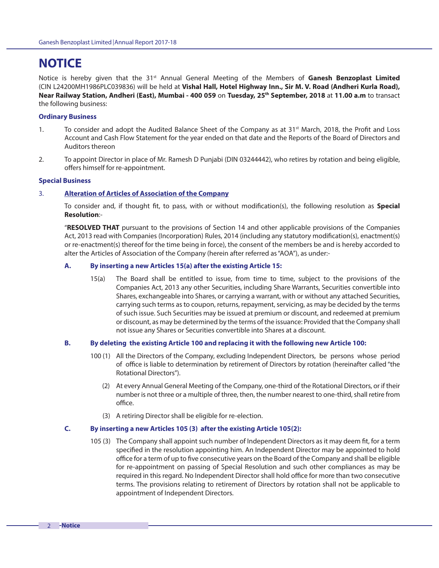# **NOTICE**

Notice is hereby given that the 31st Annual General Meeting of the Members of **Ganesh Benzoplast Limited** (CIN L24200MH1986PLC039836) will be held at **Vishal Hall, Hotel Highway Inn., Sir M. V. Road (Andheri Kurla Road), Near Railway Station, Andheri (East), Mumbai - 400 059** on **Tuesday, 25th September, 2018** at **11.00 a.m** to transact the following business:

#### **Ordinary Business**

- 1. To consider and adopt the Audited Balance Sheet of the Company as at 31<sup>st</sup> March, 2018, the Profit and Loss Account and Cash Flow Statement for the year ended on that date and the Reports of the Board of Directors and Auditors thereon
- 2. To appoint Director in place of Mr. Ramesh D Punjabi (DIN 03244442), who retires by rotation and being eligible, offers himself for re-appointment.

#### **Special Business**

#### 3. **Alteration of Articles of Association of the Company**

To consider and, if thought fit, to pass, with or without modification(s), the following resolution as **Special Resolution**:-

 "**RESOLVED THAT** pursuant to the provisions of Section 14 and other applicable provisions of the Companies Act, 2013 read with Companies (Incorporation) Rules, 2014 (including any statutory modification(s), enactment(s) or re-enactment(s) thereof for the time being in force), the consent of the members be and is hereby accorded to alter the Articles of Association of the Company (herein after referred as "AOA"), as under:-

#### **A. By inserting a new Articles 15(a) after the existing Article 15:**

15(a) The Board shall be entitled to issue, from time to time, subject to the provisions of the Companies Act, 2013 any other Securities, including Share Warrants, Securities convertible into Shares, exchangeable into Shares, or carrying a warrant, with or without any attached Securities, carrying such terms as to coupon, returns, repayment, servicing, as may be decided by the terms of such issue. Such Securities may be issued at premium or discount, and redeemed at premium or discount, as may be determined by the terms of the issuance: Provided that the Company shall not issue any Shares or Securities convertible into Shares at a discount.

#### **B. By deleting the existing Article 100 and replacing it with the following new Article 100:**

- 100 (1) All the Directors of the Company, excluding Independent Directors, be persons whose period of office is liable to determination by retirement of Directors by rotation (hereinafter called "the Rotational Directors").
	- (2) At every Annual General Meeting of the Company, one-third of the Rotational Directors, or if their number is not three or a multiple of three, then, the number nearest to one-third, shall retire from office.
	- (3) A retiring Director shall be eligible for re-election.

### **C. By inserting a new Articles 105 (3) after the existing Article 105(2):**

105 (3) The Company shall appoint such number of Independent Directors as it may deem fit, for a term specified in the resolution appointing him. An Independent Director may be appointed to hold office for a term of up to five consecutive years on the Board of the Company and shall be eligible for re-appointment on passing of Special Resolution and such other compliances as may be required in this regard. No Independent Director shall hold office for more than two consecutive terms. The provisions relating to retirement of Directors by rotation shall not be applicable to appointment of Independent Directors.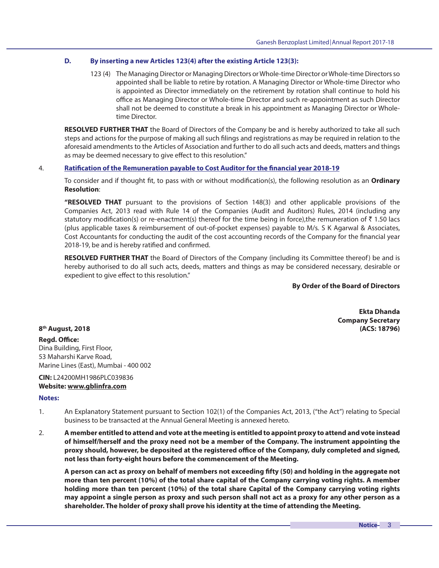### **D. By inserting a new Articles 123(4) after the existing Article 123(3):**

123 (4) The Managing Director or Managing Directors or Whole-time Director or Whole-time Directors so appointed shall be liable to retire by rotation. A Managing Director or Whole-time Director who is appointed as Director immediately on the retirement by rotation shall continue to hold his office as Managing Director or Whole-time Director and such re-appointment as such Director shall not be deemed to constitute a break in his appointment as Managing Director or Wholetime Director.

**RESOLVED FURTHER THAT** the Board of Directors of the Company be and is hereby authorized to take all such steps and actions for the purpose of making all such filings and registrations as may be required in relation to the aforesaid amendments to the Articles of Association and further to do all such acts and deeds, matters and things as may be deemed necessary to give effect to this resolution."

### 4. **Ratification of the Remuneration payable to Cost Auditor for the financial year 2018-19**

To consider and if thought fit, to pass with or without modification(s), the following resolution as an *Ordinary* **Resolution**:

**"RESOLVED THAT** pursuant to the provisions of Section 148(3) and other applicable provisions of the Companies Act, 2013 read with Rule 14 of the Companies (Audit and Auditors) Rules, 2014 (including any statutory modification(s) or re-enactment(s) thereof for the time being in force), the remuneration of  $\bar{\tau}$  1.50 lacs (plus applicable taxes & reimbursement of out-of-pocket expenses) payable to M/s. S K Agarwal & Associates, Cost Accountants for conducting the audit of the cost accounting records of the Company for the financial year 2018-19, be and is hereby ratified and confirmed.

**RESOLVED FURTHER THAT** the Board of Directors of the Company (including its Committee thereof) be and is hereby authorised to do all such acts, deeds, matters and things as may be considered necessary, desirable or expedient to give effect to this resolution."

**By Order of the Board of Directors**

**Ekta Dhanda Company Secretary 8 th August, 2018 (ACS: 18796)**

**Regd. Office:** Dina Building, First Floor, 53 Maharshi Karve Road, Marine Lines (East), Mumbai - 400 002

## **CIN:** L24200MH1986PLC039836 **Website: www.gblinfra.com**

#### **Notes:**

- 1. An Explanatory Statement pursuant to Section 102(1) of the Companies Act, 2013, ("the Act") relating to Special business to be transacted at the Annual General Meeting is annexed hereto.
- 2. **A member entitled to attend and vote at the meeting is entitled to appoint proxy to attend and vote instead of himself/herself and the proxy need not be a member of the Company. The instrument appointing the**  proxy should, however, be deposited at the registered office of the Company, duly completed and signed, **not less than forty-eight hours before the commencement of the Meeting.**

**A person can act as proxy on behalf of members not exceeding !fty (50) and holding in the aggregate not more than ten percent (10%) of the total share capital of the Company carrying voting rights. A member holding more than ten percent (10%) of the total share Capital of the Company carrying voting rights may appoint a single person as proxy and such person shall not act as a proxy for any other person as a shareholder. The holder of proxy shall prove his identity at the time of attending the Meeting.**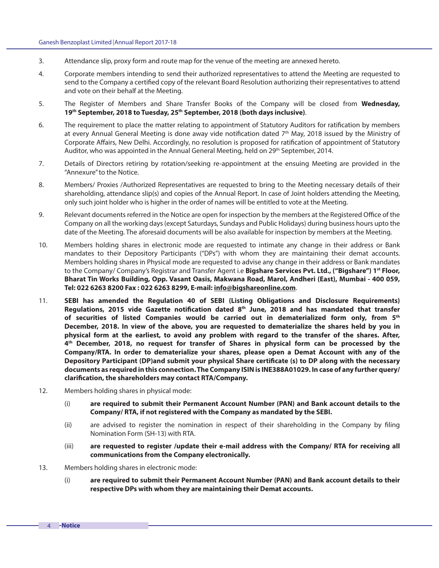- 3. Attendance slip, proxy form and route map for the venue of the meeting are annexed hereto.
- 4. Corporate members intending to send their authorized representatives to attend the Meeting are requested to send to the Company a certified copy of the relevant Board Resolution authorizing their representatives to attend and vote on their behalf at the Meeting.
- 5. The Register of Members and Share Transfer Books of the Company will be closed from **Wednesday, 19th September, 2018 to Tuesday, 25th September, 2018 (both days inclusive)**.
- 6. The requirement to place the matter relating to appointment of Statutory Auditors for ratification by members at every Annual General Meeting is done away vide notification dated  $7<sup>th</sup>$  May, 2018 issued by the Ministry of Corporate Affairs, New Delhi. Accordingly, no resolution is proposed for ratification of appointment of Statutory Auditor, who was appointed in the Annual General Meeting, held on 29<sup>th</sup> September, 2014.
- 7. Details of Directors retiring by rotation/seeking re-appointment at the ensuing Meeting are provided in the "Annexure" to the Notice.
- 8. Members/ Proxies /Authorized Representatives are requested to bring to the Meeting necessary details of their shareholding, attendance slip(s) and copies of the Annual Report. In case of Joint holders attending the Meeting, only such joint holder who is higher in the order of names will be entitled to vote at the Meeting.
- 9. Relevant documents referred in the Notice are open for inspection by the members at the Registered Office of the Company on all the working days (except Saturdays, Sundays and Public Holidays) during business hours upto the date of the Meeting. The aforesaid documents will be also available for inspection by members at the Meeting.
- 10. Members holding shares in electronic mode are requested to intimate any change in their address or Bank mandates to their Depository Participants ("DPs") with whom they are maintaining their demat accounts. Members holding shares in Physical mode are requested to advise any change in their address or Bank mandates to the Company/ Company's Registrar and Transfer Agent i.e **Bigshare Services Pvt. Ltd., ("Bigshare") 1st Floor, Bharat Tin Works Building, Opp. Vasant Oasis, Makwana Road, Marol, Andheri (East), Mumbai - 400 059, Tel: 022 6263 8200 Fax : 022 6263 8299, E-mail: info@bigshareonline.com**.
- 11. **SEBI has amended the Regulation 40 of SEBI (Listing Obligations and Disclosure Requirements)**  Regulations, 2015 vide Gazette notification dated 8<sup>th</sup> June, 2018 and has mandated that transfer **of securities of listed Companies would be carried out in dematerialized form only, from 5th December, 2018. In view of the above, you are requested to dematerialize the shares held by you in physical form at the earliest, to avoid any problem with regard to the transfer of the shares. After, 4 th December, 2018, no request for transfer of Shares in physical form can be processed by the Company/RTA. In order to dematerialize your shares, please open a Demat Account with any of the**  Depository Participant (DP)and submit your physical Share certificate (s) to DP along with the necessary **documents as required in this connection. The Company ISIN is INE388A01029. In case of any further query/** clarification, the shareholders may contact RTA/Company.
- 12. Members holding shares in physical mode:
	- (i) **are required to submit their Permanent Account Number (PAN) and Bank account details to the Company/ RTA, if not registered with the Company as mandated by the SEBI.**
	- (ii) are advised to register the nomination in respect of their shareholding in the Company by filing Nomination Form (SH-13) with RTA.
	- (iii) **are requested to register /update their e-mail address with the Company/ RTA for receiving all communications from the Company electronically.**
- 13. Members holding shares in electronic mode:
	- (i) **are required to submit their Permanent Account Number (PAN) and Bank account details to their respective DPs with whom they are maintaining their Demat accounts.**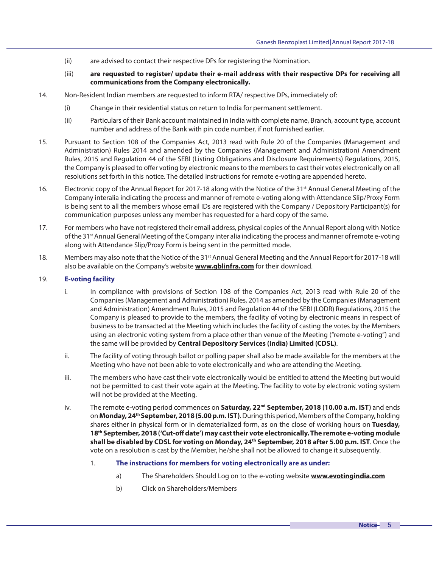- (ii) are advised to contact their respective DPs for registering the Nomination.
- (iii) **are requested to register/ update their e-mail address with their respective DPs for receiving all communications from the Company electronically.**
- 14. Non-Resident Indian members are requested to inform RTA/ respective DPs, immediately of:
	- (i) Change in their residential status on return to India for permanent settlement.
	- (ii) Particulars of their Bank account maintained in India with complete name, Branch, account type, account number and address of the Bank with pin code number, if not furnished earlier.
- 15. Pursuant to Section 108 of the Companies Act, 2013 read with Rule 20 of the Companies (Management and Administration) Rules 2014 and amended by the Companies (Management and Administration) Amendment Rules, 2015 and Regulation 44 of the SEBI (Listing Obligations and Disclosure Requirements) Regulations, 2015, the Company is pleased to offer voting by electronic means to the members to cast their votes electronically on all resolutions set forth in this notice. The detailed instructions for remote e-voting are appended hereto.
- 16. Electronic copy of the Annual Report for 2017-18 along with the Notice of the 31<sup>st</sup> Annual General Meeting of the Company interalia indicating the process and manner of remote e-voting along with Attendance Slip/Proxy Form is being sent to all the members whose email IDs are registered with the Company / Depository Participant(s) for communication purposes unless any member has requested for a hard copy of the same.
- 17. For members who have not registered their email address, physical copies of the Annual Report along with Notice of the 31<sup>st</sup> Annual General Meeting of the Company inter alia indicating the process and manner of remote e-voting along with Attendance Slip/Proxy Form is being sent in the permitted mode.
- 18. Members may also note that the Notice of the 31<sup>st</sup> Annual General Meeting and the Annual Report for 2017-18 will also be available on the Company's website **www.gblinfra.com** for their download.

## 19. **E-voting facility**

- i. In compliance with provisions of Section 108 of the Companies Act, 2013 read with Rule 20 of the Companies (Management and Administration) Rules, 2014 as amended by the Companies (Management and Administration) Amendment Rules, 2015 and Regulation 44 of the SEBI (LODR) Regulations, 2015 the Company is pleased to provide to the members, the facility of voting by electronic means in respect of business to be transacted at the Meeting which includes the facility of casting the votes by the Members using an electronic voting system from a place other than venue of the Meeting ("remote e-voting") and the same will be provided by **Central Depository Services (India) Limited (CDSL)**.
- ii. The facility of voting through ballot or polling paper shall also be made available for the members at the Meeting who have not been able to vote electronically and who are attending the Meeting.
- iii. The members who have cast their vote electronically would be entitled to attend the Meeting but would not be permitted to cast their vote again at the Meeting. The facility to vote by electronic voting system will not be provided at the Meeting.
- iv. The remote e-voting period commences on **Saturday, 22nd September, 2018 (10.00 a.m. IST)** and ends on **Monday, 24th September, 2018 (5.00 p.m. IST)**. During this period, Members of the Company, holding shares either in physical form or in dematerialized form, as on the close of working hours on **Tuesday, 18th September, 2018 ('Cut-o# date') may cast their vote electronically. The remote e-voting module shall be disabled by CDSL for voting on Monday, 24th September, 2018 after 5.00 p.m. IST**. Once the vote on a resolution is cast by the Member, he/she shall not be allowed to change it subsequently.
	- 1. **The instructions for members for voting electronically are as under:**
		- a) The Shareholders Should Log on to the e-voting website **www.evotingindia.com**
		- b) Click on Shareholders/Members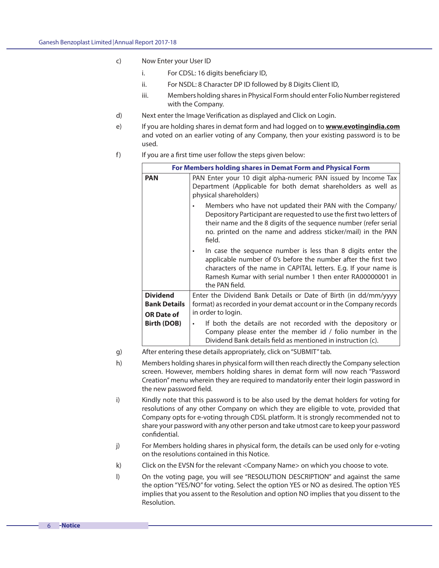- c) Now Enter your User ID
	- i. For CDSL: 16 digits beneficiary ID,
	- ii. For NSDL: 8 Character DP ID followed by 8 Digits Client ID,
	- iii. Members holding shares in Physical Form should enter Folio Number registered with the Company.
- d) Next enter the Image Verification as displayed and Click on Login.
- e) If you are holding shares in demat form and had logged on to **www.evotingindia.com**  and voted on an earlier voting of any Company, then your existing password is to be used.
- f) If you are a first time user follow the steps given below:

|                                                             | For Members holding shares in Demat Form and Physical Form                                                                                                                                                                                                                                  |
|-------------------------------------------------------------|---------------------------------------------------------------------------------------------------------------------------------------------------------------------------------------------------------------------------------------------------------------------------------------------|
| <b>PAN</b>                                                  | PAN Enter your 10 digit alpha-numeric PAN issued by Income Tax<br>Department (Applicable for both demat shareholders as well as<br>physical shareholders)                                                                                                                                   |
|                                                             | Members who have not updated their PAN with the Company/<br>$\bullet$<br>Depository Participant are requested to use the first two letters of<br>their name and the 8 digits of the sequence number (refer serial<br>no. printed on the name and address sticker/mail) in the PAN<br>field. |
|                                                             | In case the sequence number is less than 8 digits enter the<br>٠<br>applicable number of 0's before the number after the first two<br>characters of the name in CAPITAL letters. E.g. If your name is<br>Ramesh Kumar with serial number 1 then enter RA00000001 in<br>the PAN field.       |
| <b>Dividend</b><br><b>Bank Details</b><br><b>OR Date of</b> | Enter the Dividend Bank Details or Date of Birth (in dd/mm/yyyy<br>format) as recorded in your demat account or in the Company records<br>in order to login.                                                                                                                                |
| <b>Birth (DOB)</b>                                          | If both the details are not recorded with the depository or<br>$\bullet$<br>Company please enter the member id / folio number in the<br>Dividend Bank details field as mentioned in instruction (c).                                                                                        |

- g) After entering these details appropriately, click on "SUBMIT" tab.
- h) Members holding shares in physical form will then reach directly the Company selection screen. However, members holding shares in demat form will now reach "Password Creation" menu wherein they are required to mandatorily enter their login password in the new password field.
- i) Kindly note that this password is to be also used by the demat holders for voting for resolutions of any other Company on which they are eligible to vote, provided that Company opts for e-voting through CDSL platform. It is strongly recommended not to share your password with any other person and take utmost care to keep your password confidential.
- j) For Members holding shares in physical form, the details can be used only for e-voting on the resolutions contained in this Notice.
- k) Click on the EVSN for the relevant <Company Name> on which you choose to vote.
- l) On the voting page, you will see "RESOLUTION DESCRIPTION" and against the same the option "YES/NO" for voting. Select the option YES or NO as desired. The option YES implies that you assent to the Resolution and option NO implies that you dissent to the Resolution.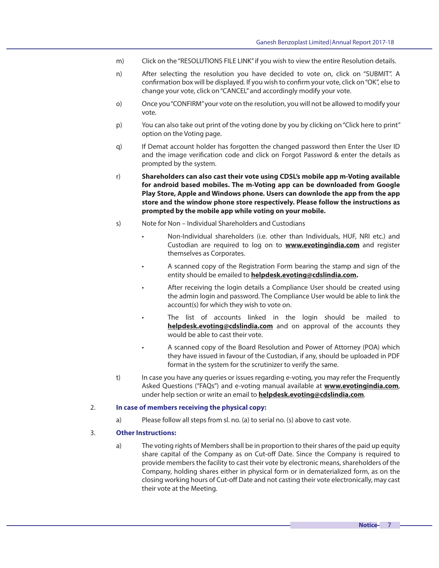- m) Click on the "RESOLUTIONS FILE LINK" if you wish to view the entire Resolution details.
- n) After selecting the resolution you have decided to vote on, click on "SUBMIT". A confirmation box will be displayed. If you wish to confirm your vote, click on "OK", else to change your vote, click on "CANCEL" and accordingly modify your vote.
- o) Once you "CONFIRM" your vote on the resolution, you will not be allowed to modify your vote.
- p) You can also take out print of the voting done by you by clicking on "Click here to print" option on the Voting page.
- q) If Demat account holder has forgotten the changed password then Enter the User ID and the image verification code and click on Forgot Password & enter the details as prompted by the system.
- r) **Shareholders can also cast their vote using CDSL's mobile app m-Voting available for android based mobiles. The m-Voting app can be downloaded from Google Play Store, Apple and Windows phone. Users can downlode the app from the app store and the window phone store respectively. Please follow the instructions as prompted by the mobile app while voting on your mobile.**
- s) Note for Non Individual Shareholders and Custodians
	- Non-Individual shareholders (i.e. other than Individuals, HUF, NRI etc.) and Custodian are required to log on to **www.evotingindia.com** and register themselves as Corporates.
	- A scanned copy of the Registration Form bearing the stamp and sign of the entity should be emailed to **helpdesk.evoting@cdslindia.com.**
	- After receiving the login details a Compliance User should be created using the admin login and password. The Compliance User would be able to link the account(s) for which they wish to vote on.
	- The list of accounts linked in the login should be mailed to **helpdesk.evoting@cdslindia.com** and on approval of the accounts they would be able to cast their vote.
	- A scanned copy of the Board Resolution and Power of Attorney (POA) which they have issued in favour of the Custodian, if any, should be uploaded in PDF format in the system for the scrutinizer to verify the same.
- t) In case you have any queries or issues regarding e-voting, you may refer the Frequently Asked Questions ("FAQs") and e-voting manual available at **www.evotingindia.com**, under help section or write an email to **helpdesk.evoting@cdslindia.com**.

#### 2. **In case of members receiving the physical copy:**

a) Please follow all steps from sl. no. (a) to serial no. (s) above to cast vote.

#### 3. **Other Instructions:**

a) The voting rights of Members shall be in proportion to their shares of the paid up equity share capital of the Company as on Cut-off Date. Since the Company is required to provide members the facility to cast their vote by electronic means, shareholders of the Company, holding shares either in physical form or in dematerialized form, as on the closing working hours of Cut-off Date and not casting their vote electronically, may cast their vote at the Meeting.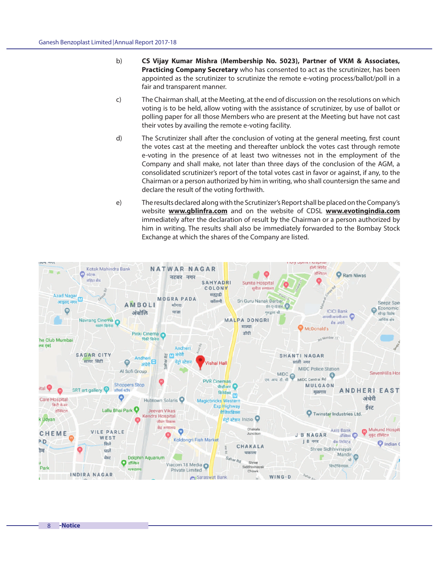- b) **CS Vijay Kumar Mishra (Membership No. 5023), Partner of VKM & Associates, Practicing Company Secretary** who has consented to act as the scrutinizer, has been appointed as the scrutinizer to scrutinize the remote e-voting process/ballot/poll in a fair and transparent manner.
- c) The Chairman shall, at the Meeting, at the end of discussion on the resolutions on which voting is to be held, allow voting with the assistance of scrutinizer, by use of ballot or polling paper for all those Members who are present at the Meeting but have not cast their votes by availing the remote e-voting facility.
- d) The Scrutinizer shall after the conclusion of voting at the general meeting, first count the votes cast at the meeting and thereafter unblock the votes cast through remote e-voting in the presence of at least two witnesses not in the employment of the Company and shall make, not later than three days of the conclusion of the AGM, a consolidated scrutinizer's report of the total votes cast in favor or against, if any, to the Chairman or a person authorized by him in writing, who shall countersign the same and declare the result of the voting forthwith.
- e) The results declared along with the Scrutinizer's Report shall be placed on the Company's website **www.gblinfra.com** and on the website of CDSL **www.evotingindia.com**  immediately after the declaration of result by the Chairman or a person authorized by him in writing. The results shall also be immediately forwarded to the Bombay Stock Exchange at which the shares of the Company are listed.

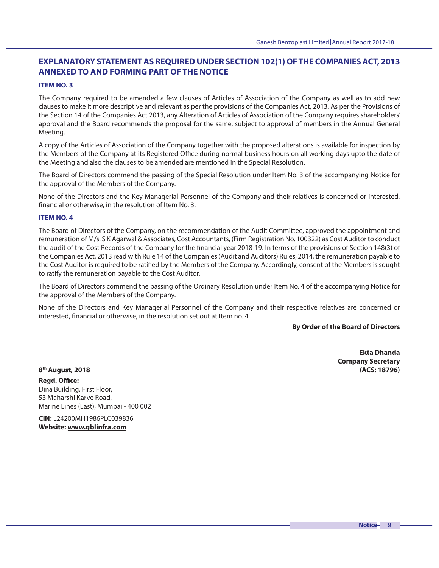# **EXPLANATORY STATEMENT AS REQUIRED UNDER SECTION 102(1) OF THE COMPANIES ACT, 2013 ANNEXED TO AND FORMING PART OF THE NOTICE**

### **ITEM NO. 3**

The Company required to be amended a few clauses of Articles of Association of the Company as well as to add new clauses to make it more descriptive and relevant as per the provisions of the Companies Act, 2013. As per the Provisions of the Section 14 of the Companies Act 2013, any Alteration of Articles of Association of the Company requires shareholders' approval and the Board recommends the proposal for the same, subject to approval of members in the Annual General Meeting.

A copy of the Articles of Association of the Company together with the proposed alterations is available for inspection by the Members of the Company at its Registered Office during normal business hours on all working days upto the date of the Meeting and also the clauses to be amended are mentioned in the Special Resolution.

The Board of Directors commend the passing of the Special Resolution under Item No. 3 of the accompanying Notice for the approval of the Members of the Company.

None of the Directors and the Key Managerial Personnel of the Company and their relatives is concerned or interested, financial or otherwise, in the resolution of Item No. 3.

#### **ITEM NO. 4**

The Board of Directors of the Company, on the recommendation of the Audit Committee, approved the appointment and remuneration of M/s. S K Agarwal & Associates, Cost Accountants, (Firm Registration No. 100322) as Cost Auditor to conduct the audit of the Cost Records of the Company for the financial year 2018-19. In terms of the provisions of Section 148(3) of the Companies Act, 2013 read with Rule 14 of the Companies (Audit and Auditors) Rules, 2014, the remuneration payable to the Cost Auditor is required to be ratified by the Members of the Company. Accordingly, consent of the Members is sought to ratify the remuneration payable to the Cost Auditor.

The Board of Directors commend the passing of the Ordinary Resolution under Item No. 4 of the accompanying Notice for the approval of the Members of the Company.

None of the Directors and Key Managerial Personnel of the Company and their respective relatives are concerned or interested, financial or otherwise, in the resolution set out at Item no. 4.

#### **By Order of the Board of Directors**

**Ekta Dhanda Company Secretary 8 th August, 2018 (ACS: 18796)**

**Read. Office:** Dina Building, First Floor, 53 Maharshi Karve Road, Marine Lines (East), Mumbai - 400 002

**CIN:** L24200MH1986PLC039836 **Website: www.gblinfra.com**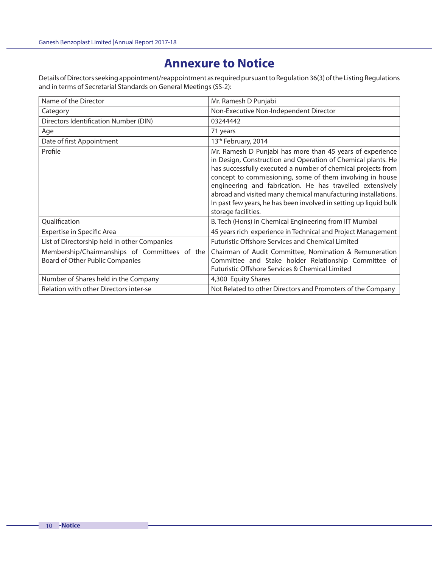# **Annexure to Notice**

Details of Directors seeking appointment/reappointment as required pursuant to Regulation 36(3) of the Listing Regulations and in terms of Secretarial Standards on General Meetings (SS-2):

| Name of the Director                                                             | Mr. Ramesh D Punjabi                                                                                                                                                                                                                                                                                                                                                                                                                                                             |  |  |
|----------------------------------------------------------------------------------|----------------------------------------------------------------------------------------------------------------------------------------------------------------------------------------------------------------------------------------------------------------------------------------------------------------------------------------------------------------------------------------------------------------------------------------------------------------------------------|--|--|
| Category                                                                         | Non-Executive Non-Independent Director                                                                                                                                                                                                                                                                                                                                                                                                                                           |  |  |
| Directors Identification Number (DIN)                                            | 03244442                                                                                                                                                                                                                                                                                                                                                                                                                                                                         |  |  |
| Age                                                                              | 71 years                                                                                                                                                                                                                                                                                                                                                                                                                                                                         |  |  |
| Date of first Appointment                                                        | 13th February, 2014                                                                                                                                                                                                                                                                                                                                                                                                                                                              |  |  |
| Profile                                                                          | Mr. Ramesh D Punjabi has more than 45 years of experience<br>in Design, Construction and Operation of Chemical plants. He<br>has successfully executed a number of chemical projects from<br>concept to commissioning, some of them involving in house<br>engineering and fabrication. He has travelled extensively<br>abroad and visited many chemical manufacturing installations.<br>In past few years, he has been involved in setting up liquid bulk<br>storage facilities. |  |  |
| Qualification                                                                    | B. Tech (Hons) in Chemical Engineering from IIT Mumbai                                                                                                                                                                                                                                                                                                                                                                                                                           |  |  |
| <b>Expertise in Specific Area</b>                                                | 45 years rich experience in Technical and Project Management                                                                                                                                                                                                                                                                                                                                                                                                                     |  |  |
| List of Directorship held in other Companies                                     | <b>Futuristic Offshore Services and Chemical Limited</b>                                                                                                                                                                                                                                                                                                                                                                                                                         |  |  |
| Membership/Chairmanships of Committees of the<br>Board of Other Public Companies | Chairman of Audit Committee, Nomination & Remuneration<br>Committee and Stake holder Relationship Committee of<br>Futuristic Offshore Services & Chemical Limited                                                                                                                                                                                                                                                                                                                |  |  |
| Number of Shares held in the Company                                             | 4,300 Equity Shares                                                                                                                                                                                                                                                                                                                                                                                                                                                              |  |  |
| Relation with other Directors inter-se                                           | Not Related to other Directors and Promoters of the Company                                                                                                                                                                                                                                                                                                                                                                                                                      |  |  |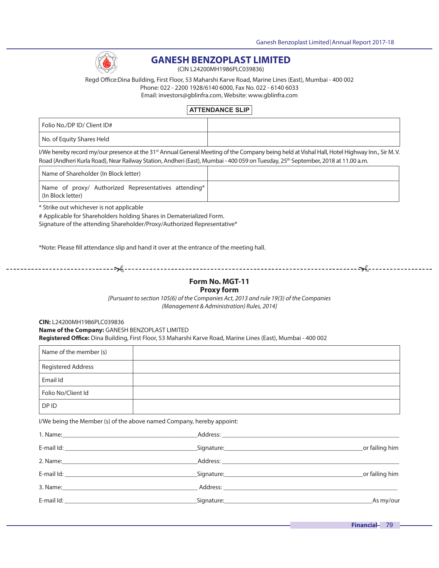

# **GANESH BENZOPLAST LIMITED**

(CIN L24200MH1986PLC039836)

Regd Office:Dina Building, First Floor, 53 Maharshi Karve Road, Marine Lines (East), Mumbai - 400 002 Phone: 022 - 2200 1928/6140 6000, Fax No. 022 - 6140 6033 Email: investors@gblinfra.com, Website: www.gblinfra.com

## **ATTENDANCE SLIP**

| Folio No./DP ID/ Client ID# |  |
|-----------------------------|--|
| No. of Equity Shares Held   |  |

I/We hereby record my/our presence at the 31<sup>st</sup> Annual General Meeting of the Company being held at Vishal Hall, Hotel Highway Inn., Sir M. V. Road (Andheri Kurla Road), Near Railway Station, Andheri (East), Mumbai - 400 059 on Tuesday, 25<sup>th</sup> September, 2018 at 11.00 a.m.

Name of Shareholder (In Block letter)

Name of proxy/ Authorized Representatives attending\* (In Block letter)

\* Strike out whichever is not applicable

# Applicable for Shareholders holding Shares in Dematerialized Form.

Signature of the attending Shareholder/Proxy/Authorized Representative\*

\*Note: Please fill attendance slip and hand it over at the entrance of the meeting hall.

# **Form No. MGT-11**

## **Proxy form**

[Pursuant to section 105(6) of the Companies Act, 2013 and rule 19(3) of the Companies (Management & Administration) Rules, 2014]

**CIN:** L24200MH1986PLC039836 **Name of the Company:** GANESH BENZOPLAST LIMITED **Registered O!ce:** Dina Building, First Floor, 53 Maharshi Karve Road, Marine Lines (East), Mumbai - 400 002

| Name of the member (s)    |  |
|---------------------------|--|
| <b>Registered Address</b> |  |
| Email Id                  |  |
| Folio No/Client Id        |  |
| DP ID                     |  |

I/We being the Member (s) of the above named Company, hereby appoint:

| E-mail Id: The contract of the contract of the contract of the contract of the contract of the contract of the | _or failing him |
|----------------------------------------------------------------------------------------------------------------|-----------------|
| 2. Name: 100 million and 2. Name: 100 million and 2. Name: 100 million and 2. Name: 100 million and 2. Name: 1 |                 |
| E-mail Id: The contract of the contract of the contract of the contract of the contract of the contract of the | _or failing him |
|                                                                                                                |                 |
|                                                                                                                | As my/our       |

Financial- 79